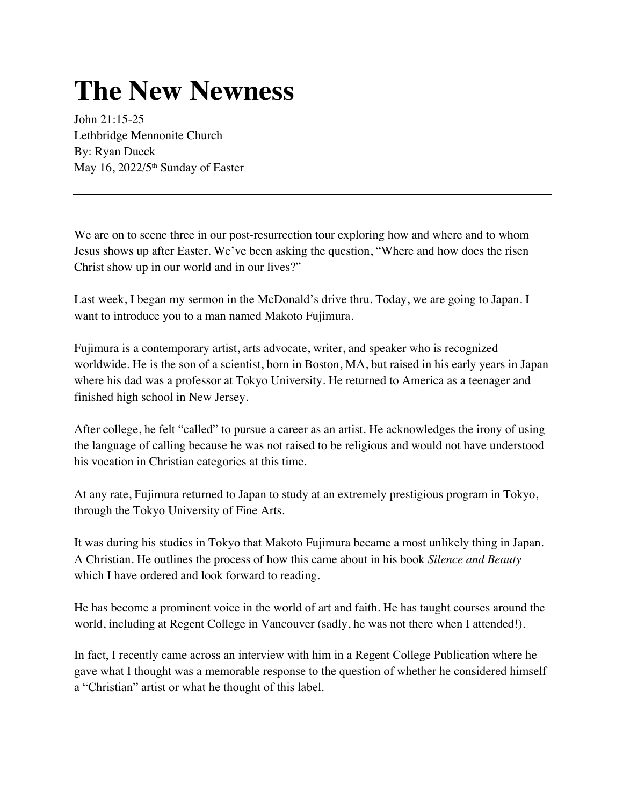## **The New Newness**

John 21:15-25 Lethbridge Mennonite Church By: Ryan Dueck May 16, 2022/5<sup>th</sup> Sunday of Easter

We are on to scene three in our post-resurrection tour exploring how and where and to whom Jesus shows up after Easter. We've been asking the question, "Where and how does the risen Christ show up in our world and in our lives?"

Last week, I began my sermon in the McDonald's drive thru. Today, we are going to Japan. I want to introduce you to a man named Makoto Fujimura.

Fujimura is a contemporary artist, arts advocate, writer, and speaker who is recognized worldwide. He is the son of a scientist, born in Boston, MA, but raised in his early years in Japan where his dad was a professor at Tokyo University. He returned to America as a teenager and finished high school in New Jersey.

After college, he felt "called" to pursue a career as an artist. He acknowledges the irony of using the language of calling because he was not raised to be religious and would not have understood his vocation in Christian categories at this time.

At any rate, Fujimura returned to Japan to study at an extremely prestigious program in Tokyo, through the Tokyo University of Fine Arts.

It was during his studies in Tokyo that Makoto Fujimura became a most unlikely thing in Japan. A Christian. He outlines the process of how this came about in his book *Silence and Beauty* which I have ordered and look forward to reading.

He has become a prominent voice in the world of art and faith. He has taught courses around the world, including at Regent College in Vancouver (sadly, he was not there when I attended!).

In fact, I recently came across an interview with him in a Regent College Publication where he gave what I thought was a memorable response to the question of whether he considered himself a "Christian" artist or what he thought of this label.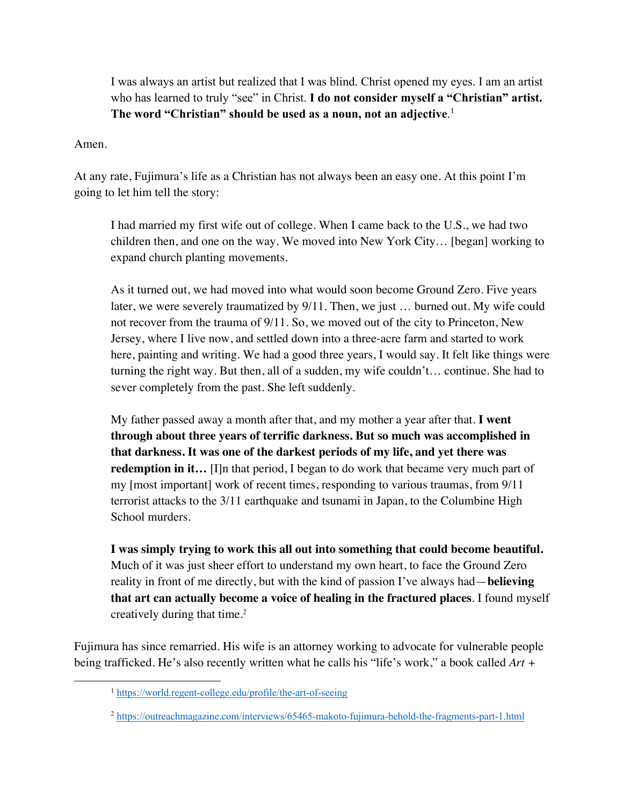I was always an artist but realized that I was blind. Christ opened my eyes. I am an artist who has learned to truly "see" in Christ. **I do not consider myself a "Christian" artist. The word "Christian" should be used as a noun, not an adjective**. 1

Amen.

At any rate, Fujimura's life as a Christian has not always been an easy one. At this point I'm going to let him tell the story:

I had married my first wife out of college. When I came back to the U.S., we had two children then, and one on the way. We moved into New York City… [began] working to expand church planting movements.

As it turned out, we had moved into what would soon become Ground Zero. Five years later, we were severely traumatized by 9/11. Then, we just … burned out. My wife could not recover from the trauma of 9/11. So, we moved out of the city to Princeton, New Jersey, where I live now, and settled down into a three-acre farm and started to work here, painting and writing. We had a good three years, I would say. It felt like things were turning the right way. But then, all of a sudden, my wife couldn't… continue. She had to sever completely from the past. She left suddenly.

My father passed away a month after that, and my mother a year after that. **I went through about three years of terrific darkness. But so much was accomplished in that darkness. It was one of the darkest periods of my life, and yet there was redemption in it...** [I]n that period, I began to do work that became very much part of my [most important] work of recent times, responding to various traumas, from 9/11 terrorist attacks to the 3/11 earthquake and tsunami in Japan, to the Columbine High School murders.

**I was simply trying to work this all out into something that could become beautiful.** Much of it was just sheer effort to understand my own heart, to face the Ground Zero reality in front of me directly, but with the kind of passion I've always had—**believing that art can actually become a voice of healing in the fractured places**. I found myself creatively during that time.2

Fujimura has since remarried. His wife is an attorney working to advocate for vulnerable people being trafficked. He's also recently written what he calls his "life's work," a book called *Art +* 

<sup>1</sup> https://world.regent-college.edu/profile/the-art-of-seeing

<sup>2</sup> https://outreachmagazine.com/interviews/65465-makoto-fujimura-behold-the-fragments-part-1.html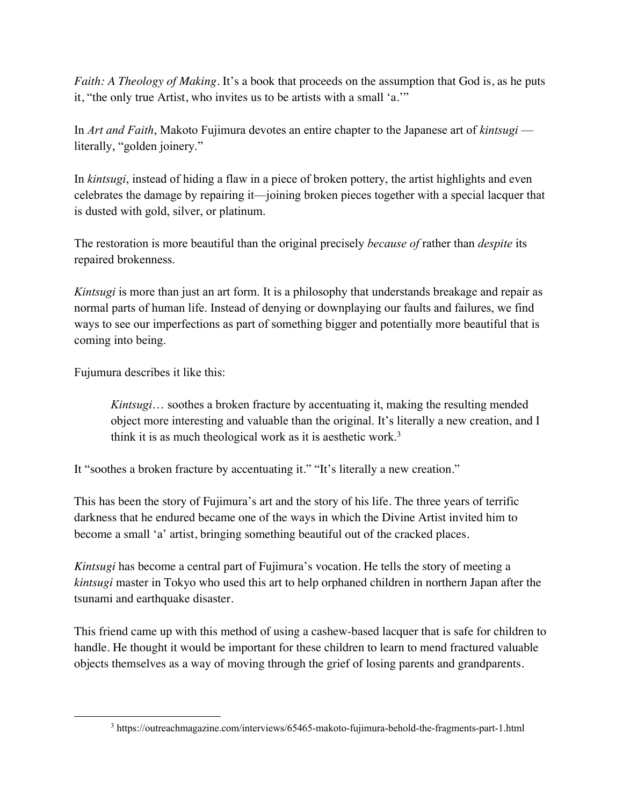*Faith: A Theology of Making.* It's a book that proceeds on the assumption that God is, as he puts it, "the only true Artist, who invites us to be artists with a small 'a.'"

In *Art and Faith*, Makoto Fujimura devotes an entire chapter to the Japanese art of *kintsugi* literally, "golden joinery."

In *kintsugi*, instead of hiding a flaw in a piece of broken pottery, the artist highlights and even celebrates the damage by repairing it—joining broken pieces together with a special lacquer that is dusted with gold, silver, or platinum.

The restoration is more beautiful than the original precisely *because of* rather than *despite* its repaired brokenness.

*Kintsugi* is more than just an art form. It is a philosophy that understands breakage and repair as normal parts of human life. Instead of denying or downplaying our faults and failures, we find ways to see our imperfections as part of something bigger and potentially more beautiful that is coming into being.

Fujumura describes it like this:

*Kintsugi*… soothes a broken fracture by accentuating it, making the resulting mended object more interesting and valuable than the original. It's literally a new creation, and I think it is as much theological work as it is aesthetic work.<sup>3</sup>

It "soothes a broken fracture by accentuating it." "It's literally a new creation."

This has been the story of Fujimura's art and the story of his life. The three years of terrific darkness that he endured became one of the ways in which the Divine Artist invited him to become a small 'a' artist, bringing something beautiful out of the cracked places.

*Kintsugi* has become a central part of Fujimura's vocation. He tells the story of meeting a *kintsugi* master in Tokyo who used this art to help orphaned children in northern Japan after the tsunami and earthquake disaster.

This friend came up with this method of using a cashew-based lacquer that is safe for children to handle. He thought it would be important for these children to learn to mend fractured valuable objects themselves as a way of moving through the grief of losing parents and grandparents.

<sup>3</sup> https://outreachmagazine.com/interviews/65465-makoto-fujimura-behold-the-fragments-part-1.html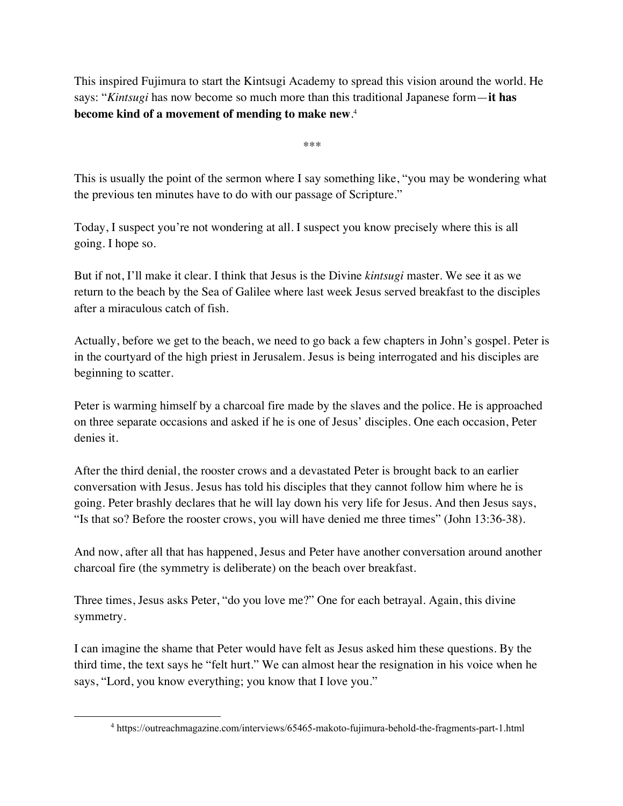This inspired Fujimura to start the Kintsugi Academy to spread this vision around the world. He says: "*Kintsugi* has now become so much more than this traditional Japanese form—**it has become kind of a movement of mending to make new**. 4

\*\*\*

This is usually the point of the sermon where I say something like, "you may be wondering what the previous ten minutes have to do with our passage of Scripture."

Today, I suspect you're not wondering at all. I suspect you know precisely where this is all going. I hope so.

But if not, I'll make it clear. I think that Jesus is the Divine *kintsugi* master. We see it as we return to the beach by the Sea of Galilee where last week Jesus served breakfast to the disciples after a miraculous catch of fish.

Actually, before we get to the beach, we need to go back a few chapters in John's gospel. Peter is in the courtyard of the high priest in Jerusalem. Jesus is being interrogated and his disciples are beginning to scatter.

Peter is warming himself by a charcoal fire made by the slaves and the police. He is approached on three separate occasions and asked if he is one of Jesus' disciples. One each occasion, Peter denies it.

After the third denial, the rooster crows and a devastated Peter is brought back to an earlier conversation with Jesus. Jesus has told his disciples that they cannot follow him where he is going. Peter brashly declares that he will lay down his very life for Jesus. And then Jesus says, "Is that so? Before the rooster crows, you will have denied me three times" (John 13:36-38).

And now, after all that has happened, Jesus and Peter have another conversation around another charcoal fire (the symmetry is deliberate) on the beach over breakfast.

Three times, Jesus asks Peter, "do you love me?" One for each betrayal. Again, this divine symmetry.

I can imagine the shame that Peter would have felt as Jesus asked him these questions. By the third time, the text says he "felt hurt." We can almost hear the resignation in his voice when he says, "Lord, you know everything; you know that I love you."

<sup>4</sup> https://outreachmagazine.com/interviews/65465-makoto-fujimura-behold-the-fragments-part-1.html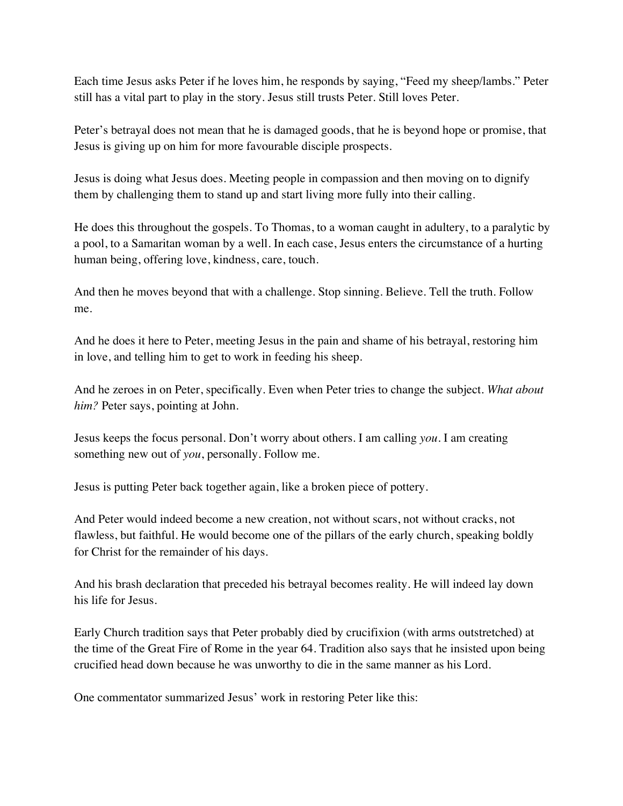Each time Jesus asks Peter if he loves him, he responds by saying, "Feed my sheep/lambs." Peter still has a vital part to play in the story. Jesus still trusts Peter. Still loves Peter.

Peter's betrayal does not mean that he is damaged goods, that he is beyond hope or promise, that Jesus is giving up on him for more favourable disciple prospects.

Jesus is doing what Jesus does. Meeting people in compassion and then moving on to dignify them by challenging them to stand up and start living more fully into their calling.

He does this throughout the gospels. To Thomas, to a woman caught in adultery, to a paralytic by a pool, to a Samaritan woman by a well. In each case, Jesus enters the circumstance of a hurting human being, offering love, kindness, care, touch.

And then he moves beyond that with a challenge. Stop sinning. Believe. Tell the truth. Follow me.

And he does it here to Peter, meeting Jesus in the pain and shame of his betrayal, restoring him in love, and telling him to get to work in feeding his sheep.

And he zeroes in on Peter, specifically. Even when Peter tries to change the subject. *What about him?* Peter says, pointing at John.

Jesus keeps the focus personal. Don't worry about others. I am calling *you*. I am creating something new out of *you*, personally. Follow me.

Jesus is putting Peter back together again, like a broken piece of pottery.

And Peter would indeed become a new creation, not without scars, not without cracks, not flawless, but faithful. He would become one of the pillars of the early church, speaking boldly for Christ for the remainder of his days.

And his brash declaration that preceded his betrayal becomes reality. He will indeed lay down his life for Jesus.

Early Church tradition says that Peter probably died by crucifixion (with arms outstretched) at the time of the Great Fire of Rome in the year 64. Tradition also says that he insisted upon being crucified head down because he was unworthy to die in the same manner as his Lord.

One commentator summarized Jesus' work in restoring Peter like this: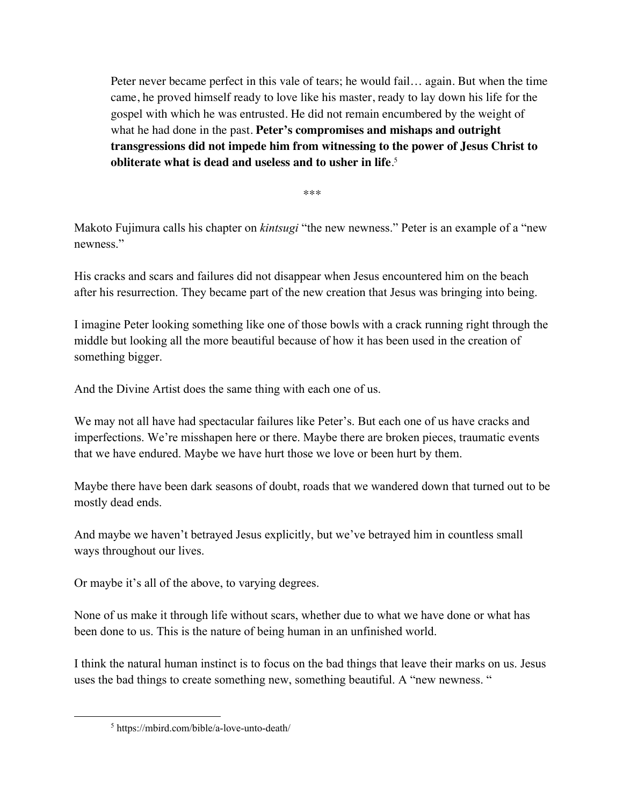Peter never became perfect in this vale of tears; he would fail… again. But when the time came, he proved himself ready to love like his master, ready to lay down his life for the gospel with which he was entrusted. He did not remain encumbered by the weight of what he had done in the past. **Peter's compromises and mishaps and outright transgressions did not impede him from witnessing to the power of Jesus Christ to obliterate what is dead and useless and to usher in life**. 5

\*\*\*

Makoto Fujimura calls his chapter on *kintsugi* "the new newness." Peter is an example of a "new newness."

His cracks and scars and failures did not disappear when Jesus encountered him on the beach after his resurrection. They became part of the new creation that Jesus was bringing into being.

I imagine Peter looking something like one of those bowls with a crack running right through the middle but looking all the more beautiful because of how it has been used in the creation of something bigger.

And the Divine Artist does the same thing with each one of us.

We may not all have had spectacular failures like Peter's. But each one of us have cracks and imperfections. We're misshapen here or there. Maybe there are broken pieces, traumatic events that we have endured. Maybe we have hurt those we love or been hurt by them.

Maybe there have been dark seasons of doubt, roads that we wandered down that turned out to be mostly dead ends.

And maybe we haven't betrayed Jesus explicitly, but we've betrayed him in countless small ways throughout our lives.

Or maybe it's all of the above, to varying degrees.

None of us make it through life without scars, whether due to what we have done or what has been done to us. This is the nature of being human in an unfinished world.

I think the natural human instinct is to focus on the bad things that leave their marks on us. Jesus uses the bad things to create something new, something beautiful. A "new newness. "

<sup>5</sup> https://mbird.com/bible/a-love-unto-death/